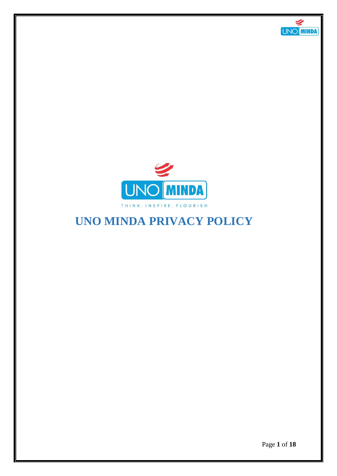



# **UNO MINDA PRIVACY POLICY**

Page **1** of **18**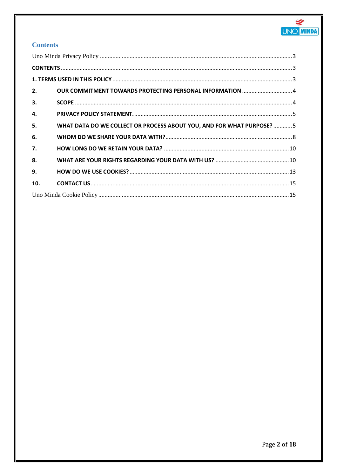

# **Contents**

| 2.           | OUR COMMITMENT TOWARDS PROTECTING PERSONAL INFORMATION  4             |  |  |  |  |
|--------------|-----------------------------------------------------------------------|--|--|--|--|
| 3.           |                                                                       |  |  |  |  |
| $\mathbf{4}$ |                                                                       |  |  |  |  |
| 5.           | WHAT DATA DO WE COLLECT OR PROCESS ABOUT YOU, AND FOR WHAT PURPOSE? 5 |  |  |  |  |
| 6.           |                                                                       |  |  |  |  |
| 7.           |                                                                       |  |  |  |  |
| 8.           |                                                                       |  |  |  |  |
| 9.           |                                                                       |  |  |  |  |
| 10.          |                                                                       |  |  |  |  |
|              |                                                                       |  |  |  |  |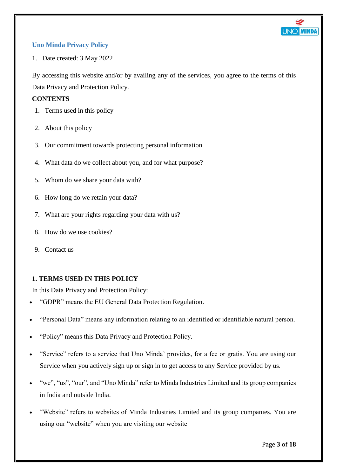

# <span id="page-2-0"></span>**Uno Minda Privacy Policy**

1. Date created: 3 May 2022

By accessing this website and/or by availing any of the services, you agree to the terms of this Data Privacy and Protection Policy.

#### <span id="page-2-1"></span>**CONTENTS**

- 1. Terms used in this policy
- 2. About this policy
- 3. Our commitment towards protecting personal information
- 4. What data do we collect about you, and for what purpose?
- 5. Whom do we share your data with?
- 6. How long do we retain your data?
- 7. What are your rights regarding your data with us?
- 8. How do we use cookies?
- 9. Contact us

# <span id="page-2-2"></span>**1. TERMS USED IN THIS POLICY**

In this Data Privacy and Protection Policy:

- "GDPR" means the EU General Data Protection Regulation.
- "Personal Data" means any information relating to an identified or identifiable natural person.
- "Policy" means this Data Privacy and Protection Policy.
- "Service" refers to a service that Uno Minda' provides, for a fee or gratis. You are using our Service when you actively sign up or sign in to get access to any Service provided by us.
- "we", "us", "our", and "Uno Minda" refer to Minda Industries Limited and its group companies in India and outside India.
- "Website" refers to websites of Minda Industries Limited and its group companies. You are using our "website" when you are visiting our website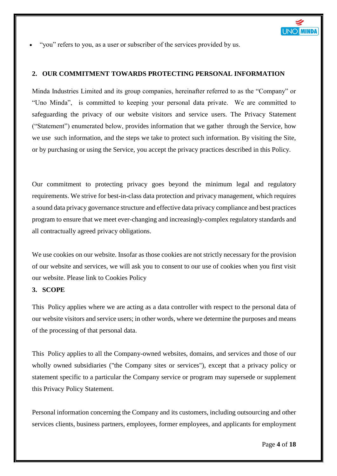

"you" refers to you, as a user or subscriber of the services provided by us.

#### <span id="page-3-0"></span>**2. OUR COMMITMENT TOWARDS PROTECTING PERSONAL INFORMATION**

Minda Industries Limited and its group companies, hereinafter referred to as the "Company" or "Uno Minda", is committed to keeping your personal data private. We are committed to safeguarding the privacy of our website visitors and service users. The Privacy Statement ("Statement") enumerated below, provides information that we gather through the Service, how we use such information, and the steps we take to protect such information. By visiting the Site, or by purchasing or using the Service, you accept the privacy practices described in this Policy.

Our commitment to protecting privacy goes beyond the minimum legal and regulatory requirements. We strive for best-in-class data protection and privacy management, which requires a sound data privacy governance structure and effective data privacy compliance and best practices program to ensure that we meet ever-changing and increasingly-complex regulatory standards and all contractually agreed privacy obligations.

We use cookies on our website. Insofar as those cookies are not strictly necessary for the provision of our website and services, we will ask you to consent to our use of cookies when you first visit our website. Please link to Cookies Policy

# <span id="page-3-1"></span>**3. SCOPE**

This Policy applies where we are acting as a data controller with respect to the personal data of our website visitors and service users; in other words, where we determine the purposes and means of the processing of that personal data.

This Policy applies to all the Company-owned websites, domains, and services and those of our wholly owned subsidiaries ("the Company sites or services"), except that a privacy policy or statement specific to a particular the Company service or program may supersede or supplement this Privacy Policy Statement.

Personal information concerning the Company and its customers, including outsourcing and other services clients, business partners, employees, former employees, and applicants for employment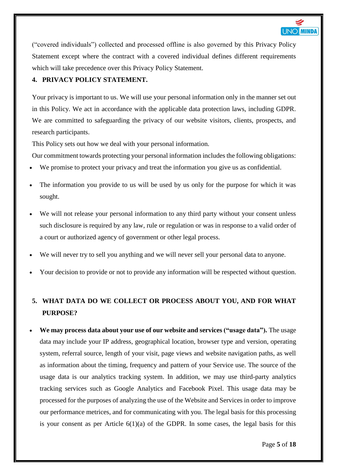

("covered individuals") collected and processed offline is also governed by this Privacy Policy Statement except where the contract with a covered individual defines different requirements which will take precedence over this Privacy Policy Statement.

# <span id="page-4-0"></span>**4. PRIVACY POLICY STATEMENT.**

Your privacy is important to us. We will use your personal information only in the manner set out in this Policy. We act in accordance with the applicable data protection laws, including GDPR. We are committed to safeguarding the privacy of our website visitors, clients, prospects, and research participants.

This Policy sets out how we deal with your personal information.

Our commitment towards protecting your personal information includes the following obligations:

- We promise to protect your privacy and treat the information you give us as confidential.
- The information you provide to us will be used by us only for the purpose for which it was sought.
- We will not release your personal information to any third party without your consent unless such disclosure is required by any law, rule or regulation or was in response to a valid order of a court or authorized agency of government or other legal process.
- We will never try to sell you anything and we will never sell your personal data to anyone.
- Your decision to provide or not to provide any information will be respected without question.

# <span id="page-4-1"></span>**5. WHAT DATA DO WE COLLECT OR PROCESS ABOUT YOU, AND FOR WHAT PURPOSE?**

 **We may process data about your use of our website and services ("usage data").** The usage data may include your IP address, geographical location, browser type and version, operating system, referral source, length of your visit, page views and website navigation paths, as well as information about the timing, frequency and pattern of your Service use. The source of the usage data is our analytics tracking system. In addition, we may use third-party analytics tracking services such as Google Analytics and Facebook Pixel. This usage data may be processed for the purposes of analyzing the use of the Website and Services in order to improve our performance metrices, and for communicating with you. The legal basis for this processing is your consent as per Article  $6(1)(a)$  of the GDPR. In some cases, the legal basis for this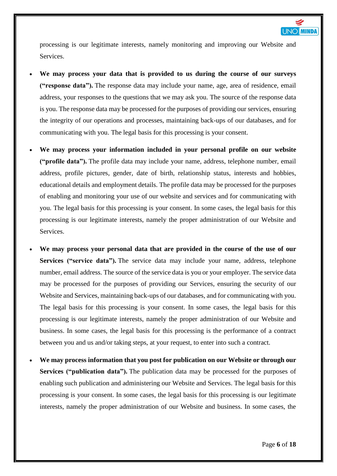

processing is our legitimate interests, namely monitoring and improving our Website and Services.

- **We may process your data that is provided to us during the course of our surveys ("response data").** The response data may include your name, age, area of residence, email address, your responses to the questions that we may ask you. The source of the response data is you. The response data may be processed for the purposes of providing our services, ensuring the integrity of our operations and processes, maintaining back-ups of our databases, and for communicating with you. The legal basis for this processing is your consent.
- **We may process your information included in your personal profile on our website ("profile data").** The profile data may include your name, address, telephone number, email address, profile pictures, gender, date of birth, relationship status, interests and hobbies, educational details and employment details. The profile data may be processed for the purposes of enabling and monitoring your use of our website and services and for communicating with you. The legal basis for this processing is your consent. In some cases, the legal basis for this processing is our legitimate interests, namely the proper administration of our Website and Services.
- **We may process your personal data that are provided in the course of the use of our Services ("service data").** The service data may include your name, address, telephone number, email address. The source of the service data is you or your employer. The service data may be processed for the purposes of providing our Services, ensuring the security of our Website and Services, maintaining back-ups of our databases, and for communicating with you. The legal basis for this processing is your consent. In some cases, the legal basis for this processing is our legitimate interests, namely the proper administration of our Website and business. In some cases, the legal basis for this processing is the performance of a contract between you and us and/or taking steps, at your request, to enter into such a contract.
- **We may process information that you post for publication on our Website or through our Services ("publication data").** The publication data may be processed for the purposes of enabling such publication and administering our Website and Services. The legal basis for this processing is your consent. In some cases, the legal basis for this processing is our legitimate interests, namely the proper administration of our Website and business. In some cases, the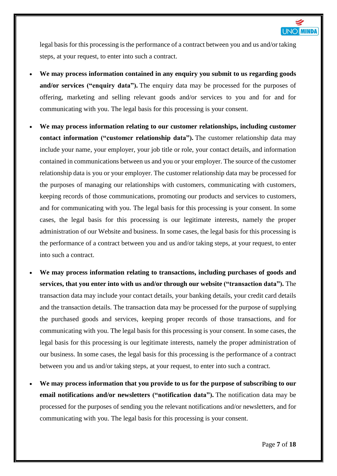

legal basis for this processing is the performance of a contract between you and us and/or taking steps, at your request, to enter into such a contract.

- **We may process information contained in any enquiry you submit to us regarding goods and/or services ("enquiry data").** The enquiry data may be processed for the purposes of offering, marketing and selling relevant goods and/or services to you and for and for communicating with you. The legal basis for this processing is your consent.
- **We may process information relating to our customer relationships, including customer contact information ("customer relationship data").** The customer relationship data may include your name, your employer, your job title or role, your contact details, and information contained in communications between us and you or your employer. The source of the customer relationship data is you or your employer. The customer relationship data may be processed for the purposes of managing our relationships with customers, communicating with customers, keeping records of those communications, promoting our products and services to customers, and for communicating with you. The legal basis for this processing is your consent. In some cases, the legal basis for this processing is our legitimate interests, namely the proper administration of our Website and business. In some cases, the legal basis for this processing is the performance of a contract between you and us and/or taking steps, at your request, to enter into such a contract.
- **We may process information relating to transactions, including purchases of goods and services, that you enter into with us and/or through our website ("transaction data").** The transaction data may include your contact details, your banking details, your credit card details and the transaction details. The transaction data may be processed for the purpose of supplying the purchased goods and services, keeping proper records of those transactions, and for communicating with you. The legal basis for this processing is your consent. In some cases, the legal basis for this processing is our legitimate interests, namely the proper administration of our business. In some cases, the legal basis for this processing is the performance of a contract between you and us and/or taking steps, at your request, to enter into such a contract.
- **We may process information that you provide to us for the purpose of subscribing to our email notifications and/or newsletters ("notification data").** The notification data may be processed for the purposes of sending you the relevant notifications and/or newsletters, and for communicating with you. The legal basis for this processing is your consent.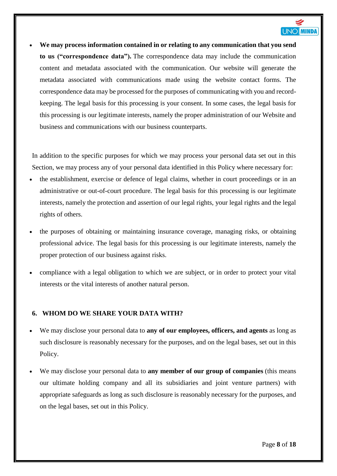

 **We may process information contained in or relating to any communication that you send to us ("correspondence data").** The correspondence data may include the communication content and metadata associated with the communication. Our website will generate the metadata associated with communications made using the website contact forms. The correspondence data may be processed for the purposes of communicating with you and recordkeeping. The legal basis for this processing is your consent. In some cases, the legal basis for this processing is our legitimate interests, namely the proper administration of our Website and business and communications with our business counterparts.

In addition to the specific purposes for which we may process your personal data set out in this Section, we may process any of your personal data identified in this Policy where necessary for:

- the establishment, exercise or defence of legal claims, whether in court proceedings or in an administrative or out-of-court procedure. The legal basis for this processing is our legitimate interests, namely the protection and assertion of our legal rights, your legal rights and the legal rights of others.
- the purposes of obtaining or maintaining insurance coverage, managing risks, or obtaining professional advice. The legal basis for this processing is our legitimate interests, namely the proper protection of our business against risks.
- compliance with a legal obligation to which we are subject, or in order to protect your vital interests or the vital interests of another natural person.

# <span id="page-7-0"></span>**6. WHOM DO WE SHARE YOUR DATA WITH?**

- We may disclose your personal data to **any of our employees, officers, and agents** as long as such disclosure is reasonably necessary for the purposes, and on the legal bases, set out in this Policy.
- We may disclose your personal data to **any member of our group of companies** (this means our ultimate holding company and all its subsidiaries and joint venture partners) with appropriate safeguards as long as such disclosure is reasonably necessary for the purposes, and on the legal bases, set out in this Policy.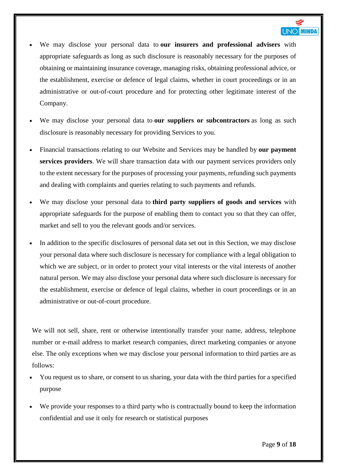

- We may disclose your personal data to **our insurers and professional advisers** with appropriate safeguards as long as such disclosure is reasonably necessary for the purposes of obtaining or maintaining insurance coverage, managing risks, obtaining professional advice, or the establishment, exercise or defence of legal claims, whether in court proceedings or in an administrative or out-of-court procedure and for protecting other legitimate interest of the Company.
- We may disclose your personal data to **our suppliers or subcontractors** as long as such disclosure is reasonably necessary for providing Services to you.
- Financial transactions relating to our Website and Services may be handled by **our payment services providers**. We will share transaction data with our payment services providers only to the extent necessary for the purposes of processing your payments, refunding such payments and dealing with complaints and queries relating to such payments and refunds.
- We may disclose your personal data to **third party suppliers of goods and services** with appropriate safeguards for the purpose of enabling them to contact you so that they can offer, market and sell to you the relevant goods and/or services.
- In addition to the specific disclosures of personal data set out in this Section, we may disclose your personal data where such disclosure is necessary for compliance with a legal obligation to which we are subject, or in order to protect your vital interests or the vital interests of another natural person. We may also disclose your personal data where such disclosure is necessary for the establishment, exercise or defence of legal claims, whether in court proceedings or in an administrative or out-of-court procedure.

We will not sell, share, rent or otherwise intentionally transfer your name, address, telephone number or e-mail address to market research companies, direct marketing companies or anyone else. The only exceptions when we may disclose your personal information to third parties are as follows:

- You request us to share, or consent to us sharing, your data with the third parties for a specified purpose
- We provide your responses to a third party who is contractually bound to keep the information confidential and use it only for research or statistical purposes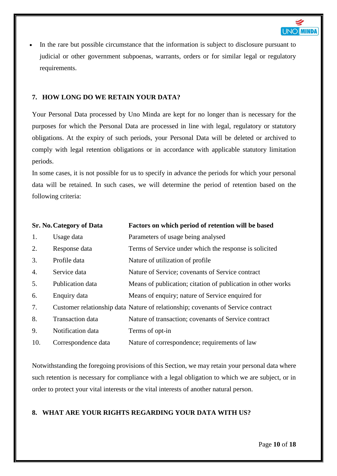

 In the rare but possible circumstance that the information is subject to disclosure pursuant to judicial or other government subpoenas, warrants, orders or for similar legal or regulatory requirements.

## <span id="page-9-0"></span>**7. HOW LONG DO WE RETAIN YOUR DATA?**

Your Personal Data processed by Uno Minda are kept for no longer than is necessary for the purposes for which the Personal Data are processed in line with legal, regulatory or statutory obligations. At the expiry of such periods, your Personal Data will be deleted or archived to comply with legal retention obligations or in accordance with applicable statutory limitation periods.

In some cases, it is not possible for us to specify in advance the periods for which your personal data will be retained. In such cases, we will determine the period of retention based on the following criteria:

|                  | <b>Sr. No. Category of Data</b> | Factors on which period of retention will be based                               |
|------------------|---------------------------------|----------------------------------------------------------------------------------|
| 1.               | Usage data                      | Parameters of usage being analysed                                               |
| 2.               | Response data                   | Terms of Service under which the response is solicited                           |
| 3.               | Profile data                    | Nature of utilization of profile.                                                |
| $\overline{4}$ . | Service data                    | Nature of Service; covenants of Service contract                                 |
| 5.               | Publication data                | Means of publication; citation of publication in other works                     |
| 6.               | Enquiry data                    | Means of enquiry; nature of Service enquired for                                 |
| 7.               |                                 | Customer relationship data Nature of relationship; covenants of Service contract |
| 8.               | Transaction data                | Nature of transaction; covenants of Service contract                             |
| 9.               | Notification data               | Terms of opt-in                                                                  |
| 10.              | Correspondence data             | Nature of correspondence; requirements of law                                    |

Notwithstanding the foregoing provisions of this Section, we may retain your personal data where such retention is necessary for compliance with a legal obligation to which we are subject, or in order to protect your vital interests or the vital interests of another natural person.

# <span id="page-9-1"></span>**8. WHAT ARE YOUR RIGHTS REGARDING YOUR DATA WITH US?**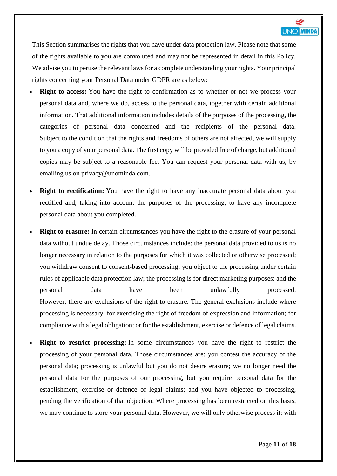

This Section summarises the rights that you have under data protection law. Please note that some of the rights available to you are convoluted and may not be represented in detail in this Policy. We advise you to peruse the relevant laws for a complete understanding your rights. Your principal rights concerning your Personal Data under GDPR are as below:

- **Right to access:** You have the right to confirmation as to whether or not we process your personal data and, where we do, access to the personal data, together with certain additional information. That additional information includes details of the purposes of the processing, the categories of personal data concerned and the recipients of the personal data. Subject to the condition that the rights and freedoms of others are not affected, we will supply to you a copy of your personal data. The first copy will be provided free of charge, but additional copies may be subject to a reasonable fee. You can request your personal data with us, by emailing us on privacy@unominda.com.
- **Right** to **rectification:** You have the right to have any inaccurate personal data about you rectified and, taking into account the purposes of the processing, to have any incomplete personal data about you completed.
- **Right to erasure:** In certain circumstances you have the right to the erasure of your personal data without undue delay. Those circumstances include: the personal data provided to us is no longer necessary in relation to the purposes for which it was collected or otherwise processed; you withdraw consent to consent-based processing; you object to the processing under certain rules of applicable data protection law; the processing is for direct marketing purposes; and the personal data have been unlawfully processed. However, there are exclusions of the right to erasure. The general exclusions include where processing is necessary: for exercising the right of freedom of expression and information; for compliance with a legal obligation; or for the establishment, exercise or defence of legal claims.
- **Right to restrict processing:** In some circumstances you have the right to restrict the processing of your personal data. Those circumstances are: you contest the accuracy of the personal data; processing is unlawful but you do not desire erasure; we no longer need the personal data for the purposes of our processing, but you require personal data for the establishment, exercise or defence of legal claims; and you have objected to processing, pending the verification of that objection. Where processing has been restricted on this basis, we may continue to store your personal data. However, we will only otherwise process it: with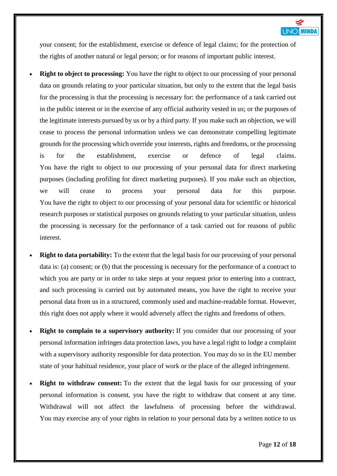

your consent; for the establishment, exercise or defence of legal claims; for the protection of the rights of another natural or legal person; or for reasons of important public interest.

- **Right to object to processing:** You have the right to object to our processing of your personal data on grounds relating to your particular situation, but only to the extent that the legal basis for the processing is that the processing is necessary for: the performance of a task carried out in the public interest or in the exercise of any official authority vested in us; or the purposes of the legitimate interests pursued by us or by a third party. If you make such an objection, we will cease to process the personal information unless we can demonstrate compelling legitimate grounds for the processing which override your interests, rights and freedoms, or the processing is for the establishment, exercise or defence of legal claims. You have the right to object to our processing of your personal data for direct marketing purposes (including profiling for direct marketing purposes). If you make such an objection, we will cease to process your personal data for this purpose. You have the right to object to our processing of your personal data for scientific or historical research purposes or statistical purposes on grounds relating to your particular situation, unless the processing is necessary for the performance of a task carried out for reasons of public interest.
- **Right to data portability:** To the extent that the legal basis for our processing of your personal data is: (a) consent; or (b) that the processing is necessary for the performance of a contract to which you are party or in order to take steps at your request prior to entering into a contract, and such processing is carried out by automated means, you have the right to receive your personal data from us in a structured, commonly used and machine-readable format. However, this right does not apply where it would adversely affect the rights and freedoms of others.
- **Right to complain to a supervisory authority:** If you consider that our processing of your personal information infringes data protection laws, you have a legal right to lodge a complaint with a supervisory authority responsible for data protection. You may do so in the EU member state of your habitual residence, your place of work or the place of the alleged infringement.
- **Right to withdraw consent:** To the extent that the legal basis for our processing of your personal information is consent, you have the right to withdraw that consent at any time. Withdrawal will not affect the lawfulness of processing before the withdrawal. You may exercise any of your rights in relation to your personal data by a written notice to us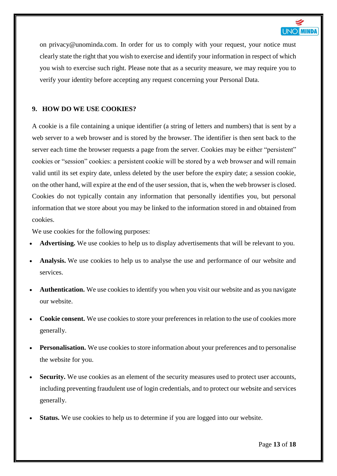

on privacy@unominda.com. In order for us to comply with your request, your notice must clearly state the right that you wish to exercise and identify your information in respect of which you wish to exercise such right. Please note that as a security measure, we may require you to verify your identity before accepting any request concerning your Personal Data.

# <span id="page-12-0"></span>**9. HOW DO WE USE COOKIES?**

A cookie is a file containing a unique identifier (a string of letters and numbers) that is sent by a web server to a web browser and is stored by the browser. The identifier is then sent back to the server each time the browser requests a page from the server. Cookies may be either "persistent" cookies or "session" cookies: a persistent cookie will be stored by a web browser and will remain valid until its set expiry date, unless deleted by the user before the expiry date; a session cookie, on the other hand, will expire at the end of the user session, that is, when the web browser is closed. Cookies do not typically contain any information that personally identifies you, but personal information that we store about you may be linked to the information stored in and obtained from cookies.

We use cookies for the following purposes:

- **Advertising.** We use cookies to help us to display advertisements that will be relevant to you.
- **Analysis.** We use cookies to help us to analyse the use and performance of our website and services.
- **Authentication.** We use cookies to identify you when you visit our website and as you navigate our website.
- **Cookie consent.** We use cookies to store your preferences in relation to the use of cookies more generally.
- **Personalisation.** We use cookies to store information about your preferences and to personalise the website for you.
- Security. We use cookies as an element of the security measures used to protect user accounts, including preventing fraudulent use of login credentials, and to protect our website and services generally.
- **Status.** We use cookies to help us to determine if you are logged into our website.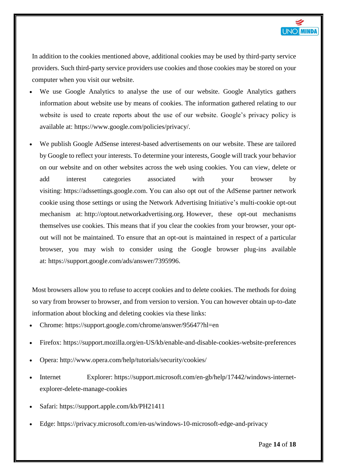

In addition to the cookies mentioned above, additional cookies may be used by third-party service providers. Such third-party service providers use cookies and those cookies may be stored on your computer when you visit our website.

- We use Google Analytics to analyse the use of our website. Google Analytics gathers information about website use by means of cookies. The information gathered relating to our website is used to create reports about the use of our website. Google's privacy policy is available at: [https://www.google.com/policies/privacy/.](https://policies.google.com/privacy)
- We publish Google AdSense interest-based advertisements on our website. These are tailored by Google to reflect your interests. To determine your interests, Google will track your behavior on our website and on other websites across the web using cookies. You can view, delete or add interest categories associated with your browser by visiting: [https://adssettings.google.com.](https://adssettings.google.com/) You can also opt out of the AdSense partner network cookie using those settings or using the Network Advertising Initiative's multi-cookie opt-out mechanism at: [http://optout.networkadvertising.org.](http://optout.networkadvertising.org/) However, these opt-out mechanisms themselves use cookies. This means that if you clear the cookies from your browser, your optout will not be maintained. To ensure that an opt-out is maintained in respect of a particular browser, you may wish to consider using the Google browser plug-ins available at: [https://support.google.com/ads/answer/7395996.](https://support.google.com/ads/answer/7395996)

Most browsers allow you to refuse to accept cookies and to delete cookies. The methods for doing so vary from browser to browser, and from version to version. You can however obtain up-to-date information about blocking and deleting cookies via these links:

- Chrome: <https://support.google.com/chrome/answer/95647?hl=en>
- Firefox: <https://support.mozilla.org/en-US/kb/enable-and-disable-cookies-website-preferences>
- Opera: <http://www.opera.com/help/tutorials/security/cookies/>
- Internet Explorer: [https://support.microsoft.com/en-gb/help/17442/windows-internet](https://support.microsoft.com/en-gb/help/17442/windows-internet-explorer-delete-manage-cookies)[explorer-delete-manage-cookies](https://support.microsoft.com/en-gb/help/17442/windows-internet-explorer-delete-manage-cookies)
- Safari: <https://support.apple.com/kb/PH21411>
- Edge: <https://privacy.microsoft.com/en-us/windows-10-microsoft-edge-and-privacy>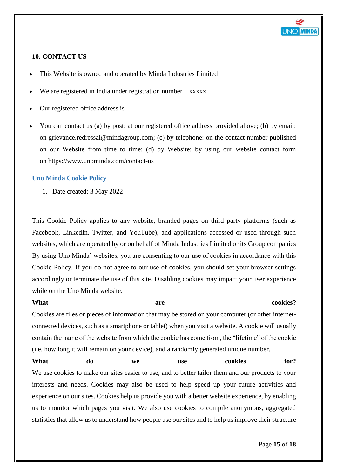

# <span id="page-14-0"></span>**10. CONTACT US**

- This Website is owned and operated by Minda Industries Limited
- We are registered in India under registration number xxxxx
- Our registered office address is
- You can contact us (a) by post: at our registered office address provided above; (b) by email: on grievance.redressal@mindagroup.com; (c) by telephone: on the contact number published on our Website from time to time; (d) by Website: by using our website contact form on https://www.unominda.com/contact-us

#### <span id="page-14-1"></span>**Uno Minda Cookie Policy**

1. Date created: 3 May 2022

This Cookie Policy applies to any website, branded pages on third party platforms (such as Facebook, LinkedIn, Twitter, and YouTube), and applications accessed or used through such websites, which are operated by or on behalf of Minda Industries Limited or its Group companies By using Uno Minda' websites, you are consenting to our use of cookies in accordance with this Cookie Policy. If you do not agree to our use of cookies, you should set your browser settings accordingly or terminate the use of this site. Disabling cookies may impact your user experience while on the Uno Minda website.

| What                                                                                                   |    | are |            |         | cookies? |  |  |  |
|--------------------------------------------------------------------------------------------------------|----|-----|------------|---------|----------|--|--|--|
| Cookies are files or pieces of information that may be stored on your computer (or other internet-     |    |     |            |         |          |  |  |  |
| connected devices, such as a smartphone or tablet) when you visit a website. A cookie will usually     |    |     |            |         |          |  |  |  |
| contain the name of the website from which the cookie has come from, the "lifetime" of the cookie      |    |     |            |         |          |  |  |  |
| (i.e. how long it will remain on your device), and a randomly generated unique number.                 |    |     |            |         |          |  |  |  |
| What                                                                                                   | do | we  | <b>use</b> | cookies | for?     |  |  |  |
| We use cookies to make our sites easier to use, and to better tailor them and our products to your     |    |     |            |         |          |  |  |  |
| interests and needs. Cookies may also be used to help speed up your future activities and              |    |     |            |         |          |  |  |  |
| experience on our sites. Cookies help us provide you with a better website experience, by enabling     |    |     |            |         |          |  |  |  |
| us to monitor which pages you visit. We also use cookies to compile anonymous, aggregated              |    |     |            |         |          |  |  |  |
| statistics that allow us to understand how people use our sites and to help us improve their structure |    |     |            |         |          |  |  |  |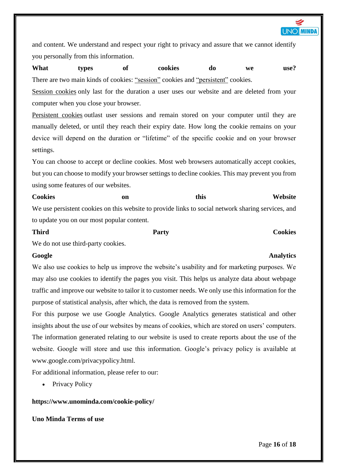

and content. We understand and respect your right to privacy and assure that we cannot identify you personally from this information.

**What types of cookies do we use?** There are two main kinds of cookies: "session" cookies and "persistent" cookies.

Session cookies only last for the duration a user uses our website and are deleted from your computer when you close your browser.

Persistent cookies outlast user sessions and remain stored on your computer until they are manually deleted, or until they reach their expiry date. How long the cookie remains on your device will depend on the duration or "lifetime" of the specific cookie and on your browser settings.

You can choose to accept or decline cookies. Most web browsers automatically accept cookies, but you can choose to modify your browser settings to decline cookies. This may prevent you from using some features of our websites.

Cookies **on** on this Website We use persistent cookies on this website to provide links to social network sharing services, and to update you on our most popular content.

#### **Third Cookies** Party **Party** Cookies

We do not use third-party cookies.

#### **Google Analytics**

We also use cookies to help us improve the website's usability and for marketing purposes. We may also use cookies to identify the pages you visit. This helps us analyze data about webpage traffic and improve our website to tailor it to customer needs. We only use this information for the purpose of statistical analysis, after which, the data is removed from the system.

For this purpose we use Google Analytics. Google Analytics generates statistical and other insights about the use of our websites by means of cookies, which are stored on users' computers. The information generated relating to our website is used to create reports about the use of the website. Google will store and use this information. Google's privacy policy is available at www.google.com/privacypolicy.html.

For additional information, please refer to our:

• Privacy Policy

#### **https://www.unominda.com/cookie-policy/**

#### **Uno Minda Terms of use**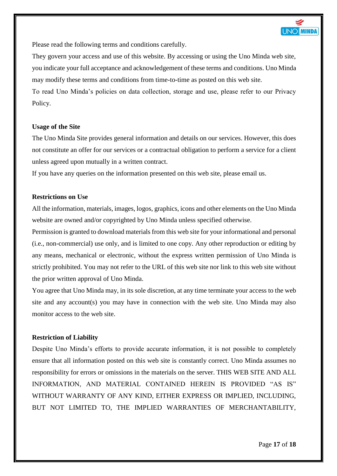

Please read the following terms and conditions carefully.

They govern your access and use of this website. By accessing or using the Uno Minda web site, you indicate your full acceptance and acknowledgement of these terms and conditions. Uno Minda may modify these terms and conditions from time-to-time as posted on this web site.

To read Uno Minda's policies on data collection, storage and use, please refer to our Privacy Policy.

#### **Usage of the Site**

The Uno Minda Site provides general information and details on our services. However, this does not constitute an offer for our services or a contractual obligation to perform a service for a client unless agreed upon mutually in a written contract.

If you have any queries on the information presented on this web site, please email us.

# **Restrictions on Use**

All the information, materials, images, logos, graphics, icons and other elements on the Uno Minda website are owned and/or copyrighted by Uno Minda unless specified otherwise.

Permission is granted to download materials from this web site for your informational and personal (i.e., non-commercial) use only, and is limited to one copy. Any other reproduction or editing by any means, mechanical or electronic, without the express written permission of Uno Minda is strictly prohibited. You may not refer to the URL of this web site nor link to this web site without the prior written approval of Uno Minda.

You agree that Uno Minda may, in its sole discretion, at any time terminate your access to the web site and any account(s) you may have in connection with the web site. Uno Minda may also monitor access to the web site.

#### **Restriction of Liability**

Despite Uno Minda's efforts to provide accurate information, it is not possible to completely ensure that all information posted on this web site is constantly correct. Uno Minda assumes no responsibility for errors or omissions in the materials on the server. THIS WEB SITE AND ALL INFORMATION, AND MATERIAL CONTAINED HEREIN IS PROVIDED "AS IS" WITHOUT WARRANTY OF ANY KIND, EITHER EXPRESS OR IMPLIED, INCLUDING, BUT NOT LIMITED TO, THE IMPLIED WARRANTIES OF MERCHANTABILITY,